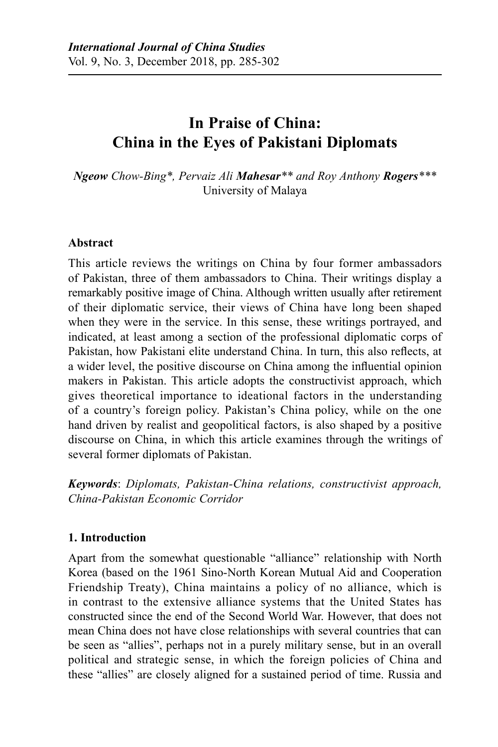# **In Praise of China: China in the Eyes of Pakistani Diplomats**

*Ngeow Chow-Bing\*, Pervaiz Ali Mahesar\*\* and Roy Anthony Rogers\*\*\**  University of Malaya

### **Abstract**

This article reviews the writings on China by four former ambassadors of Pakistan, three of them ambassadors to China. Their writings display a remarkably positive image of China. Although written usually after retirement of their diplomatic service, their views of China have long been shaped when they were in the service. In this sense, these writings portrayed, and indicated, at least among a section of the professional diplomatic corps of Pakistan, how Pakistani elite understand China. In turn, this also reflects, at a wider level, the positive discourse on China among the influential opinion makers in Pakistan. This article adopts the constructivist approach, which gives theoretical importance to ideational factors in the understanding of a country's foreign policy. Pakistan's China policy, while on the one hand driven by realist and geopolitical factors, is also shaped by a positive discourse on China, in which this article examines through the writings of several former diplomats of Pakistan.

*Keywords*: *Diplomats, Pakistan-China relations, constructivist approach, China-Pakistan Economic Corridor*

# **1. Introduction**

Apart from the somewhat questionable "alliance" relationship with North Korea (based on the 1961 Sino-North Korean Mutual Aid and Cooperation Friendship Treaty), China maintains a policy of no alliance, which is in contrast to the extensive alliance systems that the United States has constructed since the end of the Second World War. However, that does not mean China does not have close relationships with several countries that can be seen as "allies", perhaps not in a purely military sense, but in an overall political and strategic sense, in which the foreign policies of China and these "allies" are closely aligned for a sustained period of time. Russia and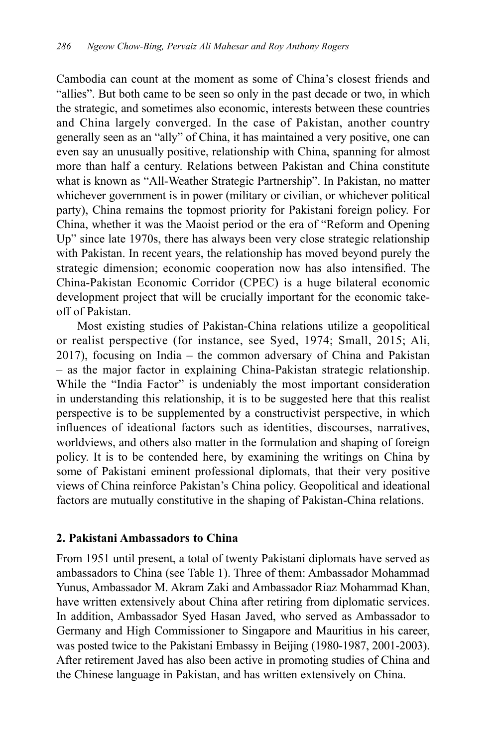Cambodia can count at the moment as some of China's closest friends and "allies". But both came to be seen so only in the past decade or two, in which the strategic, and sometimes also economic, interests between these countries and China largely converged. In the case of Pakistan, another country generally seen as an "ally" of China, it has maintained a very positive, one can even say an unusually positive, relationship with China, spanning for almost more than half a century. Relations between Pakistan and China constitute what is known as "All-Weather Strategic Partnership". In Pakistan, no matter whichever government is in power (military or civilian, or whichever political party), China remains the topmost priority for Pakistani foreign policy. For China, whether it was the Maoist period or the era of "Reform and Opening Up" since late 1970s, there has always been very close strategic relationship with Pakistan. In recent years, the relationship has moved beyond purely the strategic dimension; economic cooperation now has also intensified. The China-Pakistan Economic Corridor (CPEC) is a huge bilateral economic development project that will be crucially important for the economic takeoff of Pakistan.

Most existing studies of Pakistan-China relations utilize a geopolitical or realist perspective (for instance, see Syed, 1974; Small, 2015; Ali, 2017), focusing on India – the common adversary of China and Pakistan – as the major factor in explaining China-Pakistan strategic relationship. While the "India Factor" is undeniably the most important consideration in understanding this relationship, it is to be suggested here that this realist perspective is to be supplemented by a constructivist perspective, in which influences of ideational factors such as identities, discourses, narratives, worldviews, and others also matter in the formulation and shaping of foreign policy. It is to be contended here, by examining the writings on China by some of Pakistani eminent professional diplomats, that their very positive views of China reinforce Pakistan's China policy. Geopolitical and ideational factors are mutually constitutive in the shaping of Pakistan-China relations.

### **2. Pakistani Ambassadors to China**

From 1951 until present, a total of twenty Pakistani diplomats have served as ambassadors to China (see Table 1). Three of them: Ambassador Mohammad Yunus, Ambassador M. Akram Zaki and Ambassador Riaz Mohammad Khan, have written extensively about China after retiring from diplomatic services. In addition, Ambassador Syed Hasan Javed, who served as Ambassador to Germany and High Commissioner to Singapore and Mauritius in his career, was posted twice to the Pakistani Embassy in Beijing (1980-1987, 2001-2003). After retirement Javed has also been active in promoting studies of China and the Chinese language in Pakistan, and has written extensively on China.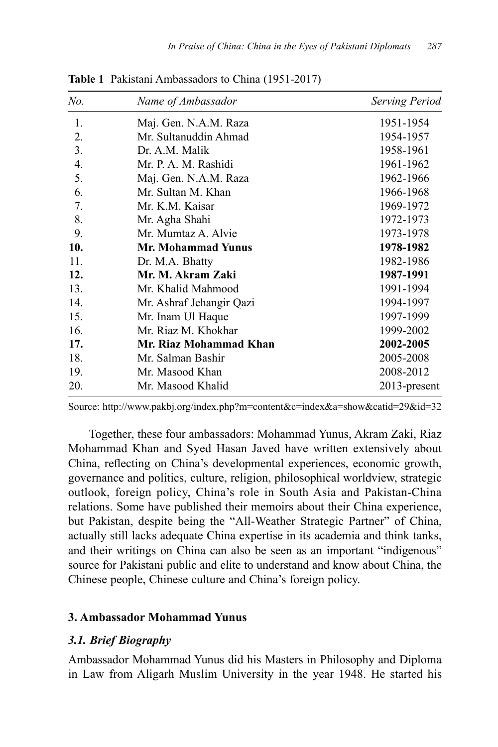| No. | Name of Ambassador        | <b>Serving Period</b> |
|-----|---------------------------|-----------------------|
| 1.  | Maj. Gen. N.A.M. Raza     | 1951-1954             |
| 2.  | Mr. Sultanuddin Ahmad     | 1954-1957             |
| 3.  | Dr. A.M. Malik            | 1958-1961             |
| 4.  | Mr. P. A. M. Rashidi      | 1961-1962             |
| 5.  | Maj. Gen. N.A.M. Raza     | 1962-1966             |
| 6.  | Mr. Sultan M. Khan        | 1966-1968             |
| 7.  | Mr. K.M. Kaisar           | 1969-1972             |
| 8.  | Mr. Agha Shahi            | 1972-1973             |
| 9.  | Mr. Mumtaz A. Alvie       | 1973-1978             |
| 10. | <b>Mr. Mohammad Yunus</b> | 1978-1982             |
| 11. | Dr. M.A. Bhatty           | 1982-1986             |
| 12. | Mr. M. Akram Zaki         | 1987-1991             |
| 13. | Mr. Khalid Mahmood        | 1991-1994             |
| 14. | Mr. Ashraf Jehangir Qazi  | 1994-1997             |
| 15. | Mr. Inam Ul Haque         | 1997-1999             |
| 16. | Mr. Riaz M. Khokhar       | 1999-2002             |
| 17. | Mr. Riaz Mohammad Khan    | 2002-2005             |
| 18. | Mr. Salman Bashir         | 2005-2008             |
| 19. | Mr. Masood Khan           | 2008-2012             |
| 20. | Mr. Masood Khalid         | 2013-present          |

**Table 1** Pakistani Ambassadors to China (1951-2017)

Source: http://www.pakbj.org/index.php?m=content&c=index&a=show&catid=29&id=32

Together, these four ambassadors: Mohammad Yunus, Akram Zaki, Riaz Mohammad Khan and Syed Hasan Javed have written extensively about China, reflecting on China's developmental experiences, economic growth, governance and politics, culture, religion, philosophical worldview, strategic outlook, foreign policy, China's role in South Asia and Pakistan-China relations. Some have published their memoirs about their China experience, but Pakistan, despite being the "All-Weather Strategic Partner" of China, actually still lacks adequate China expertise in its academia and think tanks, and their writings on China can also be seen as an important "indigenous" source for Pakistani public and elite to understand and know about China, the Chinese people, Chinese culture and China's foreign policy.

### **3. Ambassador Mohammad Yunus**

# *3.1. Brief Biography*

Ambassador Mohammad Yunus did his Masters in Philosophy and Diploma in Law from Aligarh Muslim University in the year 1948. He started his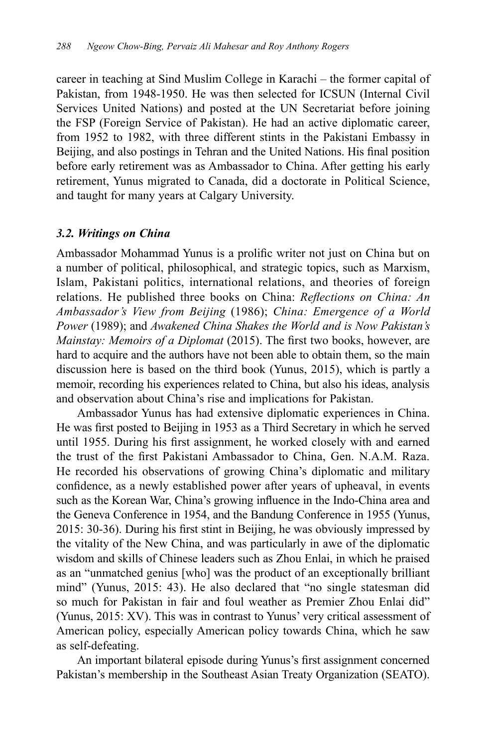career in teaching at Sind Muslim College in Karachi – the former capital of Pakistan, from 1948-1950. He was then selected for ICSUN (Internal Civil Services United Nations) and posted at the UN Secretariat before joining the FSP (Foreign Service of Pakistan). He had an active diplomatic career, from 1952 to 1982, with three different stints in the Pakistani Embassy in Beijing, and also postings in Tehran and the United Nations. His final position before early retirement was as Ambassador to China. After getting his early retirement, Yunus migrated to Canada, did a doctorate in Political Science, and taught for many years at Calgary University.

### *3.2. Writings on China*

Ambassador Mohammad Yunus is a prolific writer not just on China but on a number of political, philosophical, and strategic topics, such as Marxism, Islam, Pakistani politics, international relations, and theories of foreign relations. He published three books on China: *Reflections on China: An Ambassador's View from Beijing* (1986); *China: Emergence of a World Power* (1989); and *Awakened China Shakes the World and is Now Pakistan's Mainstay: Memoirs of a Diplomat* (2015). The first two books, however, are hard to acquire and the authors have not been able to obtain them, so the main discussion here is based on the third book (Yunus, 2015), which is partly a memoir, recording his experiences related to China, but also his ideas, analysis and observation about China's rise and implications for Pakistan.

Ambassador Yunus has had extensive diplomatic experiences in China. He was first posted to Beijing in 1953 as a Third Secretary in which he served until 1955. During his first assignment, he worked closely with and earned the trust of the first Pakistani Ambassador to China, Gen. N.A.M. Raza. He recorded his observations of growing China's diplomatic and military confidence, as a newly established power after years of upheaval, in events such as the Korean War, China's growing influence in the Indo-China area and the Geneva Conference in 1954, and the Bandung Conference in 1955 (Yunus, 2015: 30-36). During his first stint in Beijing, he was obviously impressed by the vitality of the New China, and was particularly in awe of the diplomatic wisdom and skills of Chinese leaders such as Zhou Enlai, in which he praised as an "unmatched genius [who] was the product of an exceptionally brilliant mind" (Yunus, 2015: 43). He also declared that "no single statesman did so much for Pakistan in fair and foul weather as Premier Zhou Enlai did" (Yunus, 2015: XV). This was in contrast to Yunus' very critical assessment of American policy, especially American policy towards China, which he saw as self-defeating.

An important bilateral episode during Yunus's first assignment concerned Pakistan's membership in the Southeast Asian Treaty Organization (SEATO).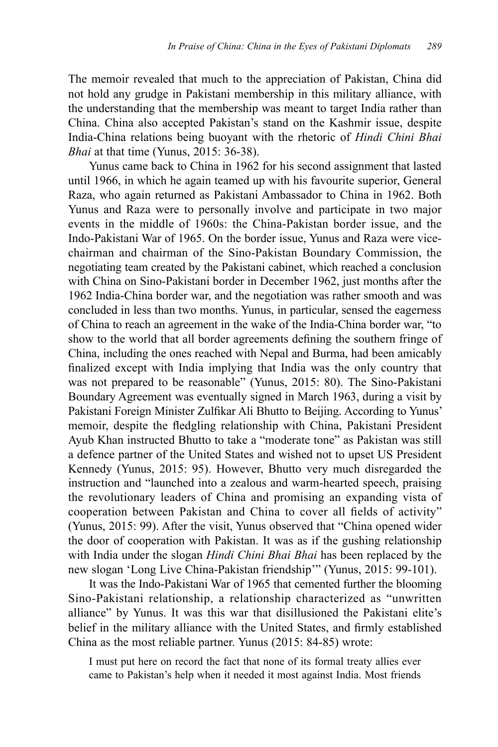The memoir revealed that much to the appreciation of Pakistan, China did not hold any grudge in Pakistani membership in this military alliance, with the understanding that the membership was meant to target India rather than China. China also accepted Pakistan's stand on the Kashmir issue, despite India-China relations being buoyant with the rhetoric of *Hindi Chini Bhai Bhai* at that time (Yunus, 2015: 36-38).

Yunus came back to China in 1962 for his second assignment that lasted until 1966, in which he again teamed up with his favourite superior, General Raza, who again returned as Pakistani Ambassador to China in 1962. Both Yunus and Raza were to personally involve and participate in two major events in the middle of 1960s: the China-Pakistan border issue, and the Indo-Pakistani War of 1965. On the border issue, Yunus and Raza were vicechairman and chairman of the Sino-Pakistan Boundary Commission, the negotiating team created by the Pakistani cabinet, which reached a conclusion with China on Sino-Pakistani border in December 1962, just months after the 1962 India-China border war, and the negotiation was rather smooth and was concluded in less than two months. Yunus, in particular, sensed the eagerness of China to reach an agreement in the wake of the India-China border war, "to show to the world that all border agreements defining the southern fringe of China, including the ones reached with Nepal and Burma, had been amicably finalized except with India implying that India was the only country that was not prepared to be reasonable" (Yunus, 2015: 80). The Sino-Pakistani Boundary Agreement was eventually signed in March 1963, during a visit by Pakistani Foreign Minister Zulfikar Ali Bhutto to Beijing. According to Yunus' memoir, despite the fledgling relationship with China, Pakistani President Ayub Khan instructed Bhutto to take a "moderate tone" as Pakistan was still a defence partner of the United States and wished not to upset US President Kennedy (Yunus, 2015: 95). However, Bhutto very much disregarded the instruction and "launched into a zealous and warm-hearted speech, praising the revolutionary leaders of China and promising an expanding vista of cooperation between Pakistan and China to cover all fields of activity" (Yunus, 2015: 99). After the visit, Yunus observed that "China opened wider the door of cooperation with Pakistan. It was as if the gushing relationship with India under the slogan *Hindi Chini Bhai Bhai* has been replaced by the new slogan 'Long Live China-Pakistan friendship'" (Yunus, 2015: 99-101).

It was the Indo-Pakistani War of 1965 that cemented further the blooming Sino-Pakistani relationship, a relationship characterized as "unwritten alliance" by Yunus. It was this war that disillusioned the Pakistani elite's belief in the military alliance with the United States, and firmly established China as the most reliable partner. Yunus (2015: 84-85) wrote:

I must put here on record the fact that none of its formal treaty allies ever came to Pakistan's help when it needed it most against India. Most friends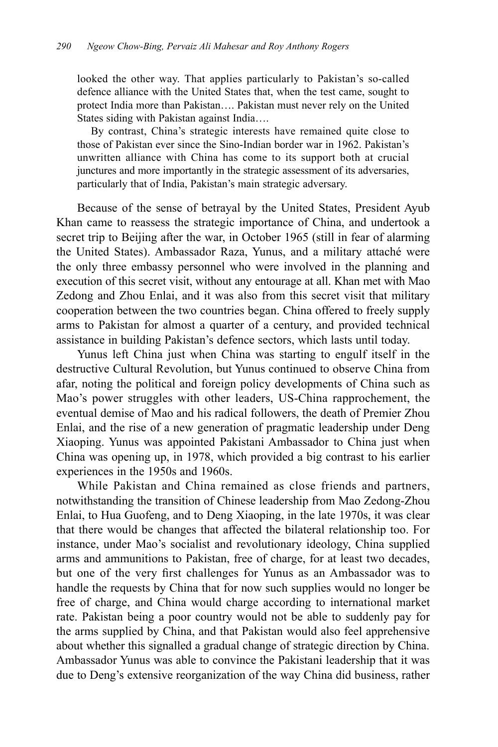looked the other way. That applies particularly to Pakistan's so-called defence alliance with the United States that, when the test came, sought to protect India more than Pakistan…. Pakistan must never rely on the United States siding with Pakistan against India….

By contrast, China's strategic interests have remained quite close to those of Pakistan ever since the Sino-Indian border war in 1962. Pakistan's unwritten alliance with China has come to its support both at crucial junctures and more importantly in the strategic assessment of its adversaries, particularly that of India, Pakistan's main strategic adversary.

Because of the sense of betrayal by the United States, President Ayub Khan came to reassess the strategic importance of China, and undertook a secret trip to Beijing after the war, in October 1965 (still in fear of alarming the United States). Ambassador Raza, Yunus, and a military attaché were the only three embassy personnel who were involved in the planning and execution of this secret visit, without any entourage at all. Khan met with Mao Zedong and Zhou Enlai, and it was also from this secret visit that military cooperation between the two countries began. China offered to freely supply arms to Pakistan for almost a quarter of a century, and provided technical assistance in building Pakistan's defence sectors, which lasts until today.

Yunus left China just when China was starting to engulf itself in the destructive Cultural Revolution, but Yunus continued to observe China from afar, noting the political and foreign policy developments of China such as Mao's power struggles with other leaders, US-China rapprochement, the eventual demise of Mao and his radical followers, the death of Premier Zhou Enlai, and the rise of a new generation of pragmatic leadership under Deng Xiaoping. Yunus was appointed Pakistani Ambassador to China just when China was opening up, in 1978, which provided a big contrast to his earlier experiences in the 1950s and 1960s.

While Pakistan and China remained as close friends and partners, notwithstanding the transition of Chinese leadership from Mao Zedong-Zhou Enlai, to Hua Guofeng, and to Deng Xiaoping, in the late 1970s, it was clear that there would be changes that affected the bilateral relationship too. For instance, under Mao's socialist and revolutionary ideology, China supplied arms and ammunitions to Pakistan, free of charge, for at least two decades, but one of the very first challenges for Yunus as an Ambassador was to handle the requests by China that for now such supplies would no longer be free of charge, and China would charge according to international market rate. Pakistan being a poor country would not be able to suddenly pay for the arms supplied by China, and that Pakistan would also feel apprehensive about whether this signalled a gradual change of strategic direction by China. Ambassador Yunus was able to convince the Pakistani leadership that it was due to Deng's extensive reorganization of the way China did business, rather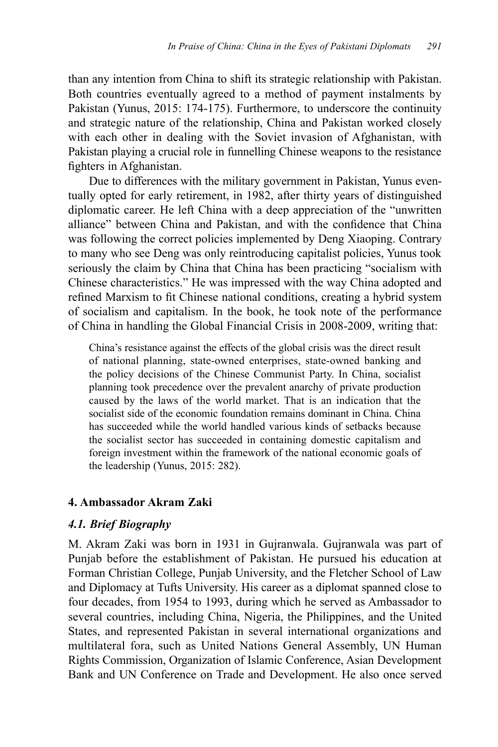than any intention from China to shift its strategic relationship with Pakistan. Both countries eventually agreed to a method of payment instalments by Pakistan (Yunus, 2015: 174-175). Furthermore, to underscore the continuity and strategic nature of the relationship, China and Pakistan worked closely with each other in dealing with the Soviet invasion of Afghanistan, with Pakistan playing a crucial role in funnelling Chinese weapons to the resistance fighters in Afghanistan.

Due to differences with the military government in Pakistan, Yunus eventually opted for early retirement, in 1982, after thirty years of distinguished diplomatic career. He left China with a deep appreciation of the "unwritten alliance" between China and Pakistan, and with the confidence that China was following the correct policies implemented by Deng Xiaoping. Contrary to many who see Deng was only reintroducing capitalist policies, Yunus took seriously the claim by China that China has been practicing "socialism with Chinese characteristics." He was impressed with the way China adopted and refined Marxism to fit Chinese national conditions, creating a hybrid system of socialism and capitalism. In the book, he took note of the performance of China in handling the Global Financial Crisis in 2008-2009, writing that:

China's resistance against the effects of the global crisis was the direct result of national planning, state-owned enterprises, state-owned banking and the policy decisions of the Chinese Communist Party. In China, socialist planning took precedence over the prevalent anarchy of private production caused by the laws of the world market. That is an indication that the socialist side of the economic foundation remains dominant in China. China has succeeded while the world handled various kinds of setbacks because the socialist sector has succeeded in containing domestic capitalism and foreign investment within the framework of the national economic goals of the leadership (Yunus, 2015: 282).

### **4. Ambassador Akram Zaki**

### *4.1. Brief Biography*

M. Akram Zaki was born in 1931 in Gujranwala. Gujranwala was part of Punjab before the establishment of Pakistan. He pursued his education at Forman Christian College, Punjab University, and the Fletcher School of Law and Diplomacy at Tufts University. His career as a diplomat spanned close to four decades, from 1954 to 1993, during which he served as Ambassador to several countries, including China, Nigeria, the Philippines, and the United States, and represented Pakistan in several international organizations and multilateral fora, such as United Nations General Assembly, UN Human Rights Commission, Organization of Islamic Conference, Asian Development Bank and UN Conference on Trade and Development. He also once served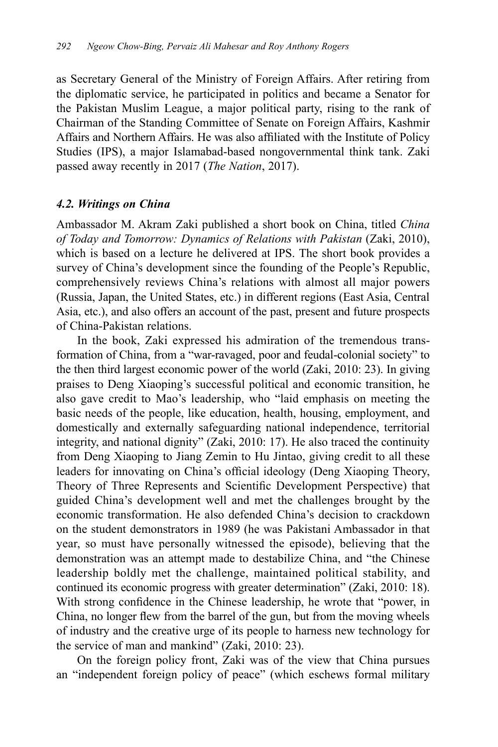as Secretary General of the Ministry of Foreign Affairs. After retiring from the diplomatic service, he participated in politics and became a Senator for the Pakistan Muslim League, a major political party, rising to the rank of Chairman of the Standing Committee of Senate on Foreign Affairs, Kashmir Affairs and Northern Affairs. He was also affiliated with the Institute of Policy Studies (IPS), a major Islamabad-based nongovernmental think tank. Zaki passed away recently in 2017 (*The Nation*, 2017).

### *4.2. Writings on China*

Ambassador M. Akram Zaki published a short book on China, titled *China of Today and Tomorrow: Dynamics of Relations with Pakistan* (Zaki, 2010), which is based on a lecture he delivered at IPS. The short book provides a survey of China's development since the founding of the People's Republic, comprehensively reviews China's relations with almost all major powers (Russia, Japan, the United States, etc.) in different regions (East Asia, Central Asia, etc.), and also offers an account of the past, present and future prospects of China-Pakistan relations.

In the book, Zaki expressed his admiration of the tremendous transformation of China, from a "war-ravaged, poor and feudal-colonial society" to the then third largest economic power of the world (Zaki, 2010: 23). In giving praises to Deng Xiaoping's successful political and economic transition, he also gave credit to Mao's leadership, who "laid emphasis on meeting the basic needs of the people, like education, health, housing, employment, and domestically and externally safeguarding national independence, territorial integrity, and national dignity" (Zaki, 2010: 17). He also traced the continuity from Deng Xiaoping to Jiang Zemin to Hu Jintao, giving credit to all these leaders for innovating on China's official ideology (Deng Xiaoping Theory, Theory of Three Represents and Scientific Development Perspective) that guided China's development well and met the challenges brought by the economic transformation. He also defended China's decision to crackdown on the student demonstrators in 1989 (he was Pakistani Ambassador in that year, so must have personally witnessed the episode), believing that the demonstration was an attempt made to destabilize China, and "the Chinese leadership boldly met the challenge, maintained political stability, and continued its economic progress with greater determination" (Zaki, 2010: 18). With strong confidence in the Chinese leadership, he wrote that "power, in China, no longer flew from the barrel of the gun, but from the moving wheels of industry and the creative urge of its people to harness new technology for the service of man and mankind" (Zaki, 2010: 23).

On the foreign policy front, Zaki was of the view that China pursues an "independent foreign policy of peace" (which eschews formal military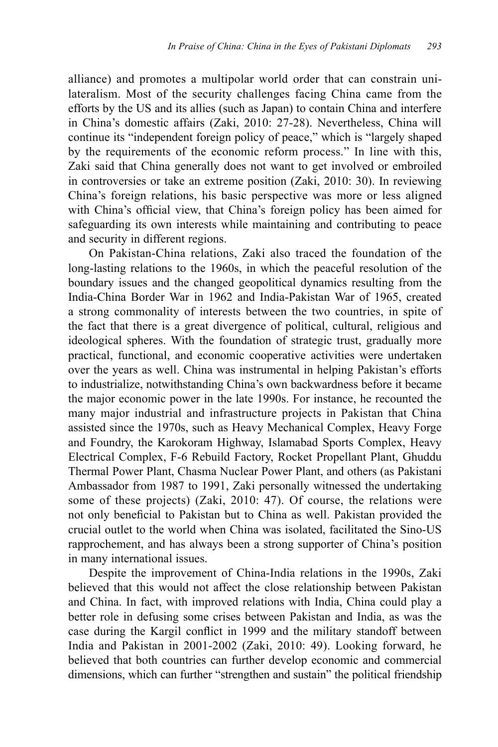alliance) and promotes a multipolar world order that can constrain unilateralism. Most of the security challenges facing China came from the efforts by the US and its allies (such as Japan) to contain China and interfere in China's domestic affairs (Zaki, 2010: 27-28). Nevertheless, China will continue its "independent foreign policy of peace," which is "largely shaped by the requirements of the economic reform process." In line with this, Zaki said that China generally does not want to get involved or embroiled in controversies or take an extreme position (Zaki, 2010: 30). In reviewing China's foreign relations, his basic perspective was more or less aligned with China's official view, that China's foreign policy has been aimed for safeguarding its own interests while maintaining and contributing to peace and security in different regions.

On Pakistan-China relations, Zaki also traced the foundation of the long-lasting relations to the 1960s, in which the peaceful resolution of the boundary issues and the changed geopolitical dynamics resulting from the India-China Border War in 1962 and India-Pakistan War of 1965, created a strong commonality of interests between the two countries, in spite of the fact that there is a great divergence of political, cultural, religious and ideological spheres. With the foundation of strategic trust, gradually more practical, functional, and economic cooperative activities were undertaken over the years as well. China was instrumental in helping Pakistan's efforts to industrialize, notwithstanding China's own backwardness before it became the major economic power in the late 1990s. For instance, he recounted the many major industrial and infrastructure projects in Pakistan that China assisted since the 1970s, such as Heavy Mechanical Complex, Heavy Forge and Foundry, the Karokoram Highway, Islamabad Sports Complex, Heavy Electrical Complex, F-6 Rebuild Factory, Rocket Propellant Plant, Ghuddu Thermal Power Plant, Chasma Nuclear Power Plant, and others (as Pakistani Ambassador from 1987 to 1991, Zaki personally witnessed the undertaking some of these projects) (Zaki, 2010: 47). Of course, the relations were not only beneficial to Pakistan but to China as well. Pakistan provided the crucial outlet to the world when China was isolated, facilitated the Sino-US rapprochement, and has always been a strong supporter of China's position in many international issues.

Despite the improvement of China-India relations in the 1990s, Zaki believed that this would not affect the close relationship between Pakistan and China. In fact, with improved relations with India, China could play a better role in defusing some crises between Pakistan and India, as was the case during the Kargil conflict in 1999 and the military standoff between India and Pakistan in 2001-2002 (Zaki, 2010: 49). Looking forward, he believed that both countries can further develop economic and commercial dimensions, which can further "strengthen and sustain" the political friendship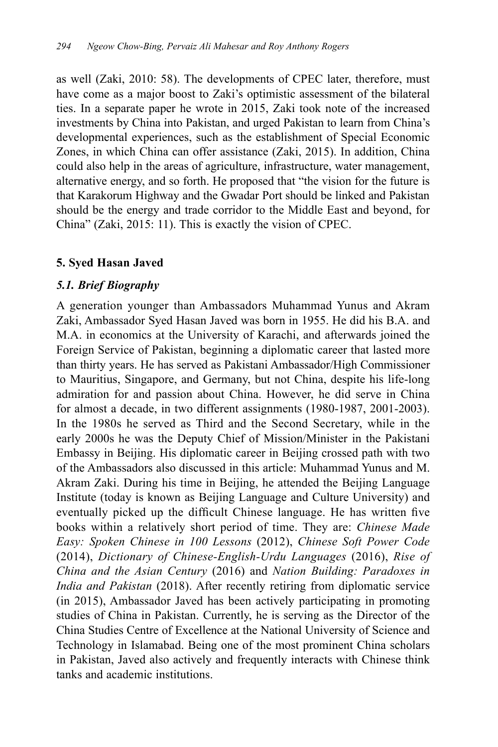as well (Zaki, 2010: 58). The developments of CPEC later, therefore, must have come as a major boost to Zaki's optimistic assessment of the bilateral ties. In a separate paper he wrote in 2015, Zaki took note of the increased investments by China into Pakistan, and urged Pakistan to learn from China's developmental experiences, such as the establishment of Special Economic Zones, in which China can offer assistance (Zaki, 2015). In addition, China could also help in the areas of agriculture, infrastructure, water management, alternative energy, and so forth. He proposed that "the vision for the future is that Karakorum Highway and the Gwadar Port should be linked and Pakistan should be the energy and trade corridor to the Middle East and beyond, for China" (Zaki, 2015: 11). This is exactly the vision of CPEC.

# **5. Syed Hasan Javed**

# *5.1. Brief Biography*

A generation younger than Ambassadors Muhammad Yunus and Akram Zaki, Ambassador Syed Hasan Javed was born in 1955. He did his B.A. and M.A. in economics at the University of Karachi, and afterwards joined the Foreign Service of Pakistan, beginning a diplomatic career that lasted more than thirty years. He has served as Pakistani Ambassador/High Commissioner to Mauritius, Singapore, and Germany, but not China, despite his life-long admiration for and passion about China. However, he did serve in China for almost a decade, in two different assignments (1980-1987, 2001-2003). In the 1980s he served as Third and the Second Secretary, while in the early 2000s he was the Deputy Chief of Mission/Minister in the Pakistani Embassy in Beijing. His diplomatic career in Beijing crossed path with two of the Ambassadors also discussed in this article: Muhammad Yunus and M. Akram Zaki. During his time in Beijing, he attended the Beijing Language Institute (today is known as Beijing Language and Culture University) and eventually picked up the difficult Chinese language. He has written five books within a relatively short period of time. They are: *Chinese Made Easy: Spoken Chinese in 100 Lessons* (2012), *Chinese Soft Power Code* (2014), *Dictionary of Chinese-English-Urdu Languages* (2016), *Rise of China and the Asian Century* (2016) and *Nation Building: Paradoxes in India and Pakistan* (2018). After recently retiring from diplomatic service (in 2015), Ambassador Javed has been actively participating in promoting studies of China in Pakistan. Currently, he is serving as the Director of the China Studies Centre of Excellence at the National University of Science and Technology in Islamabad. Being one of the most prominent China scholars in Pakistan, Javed also actively and frequently interacts with Chinese think tanks and academic institutions.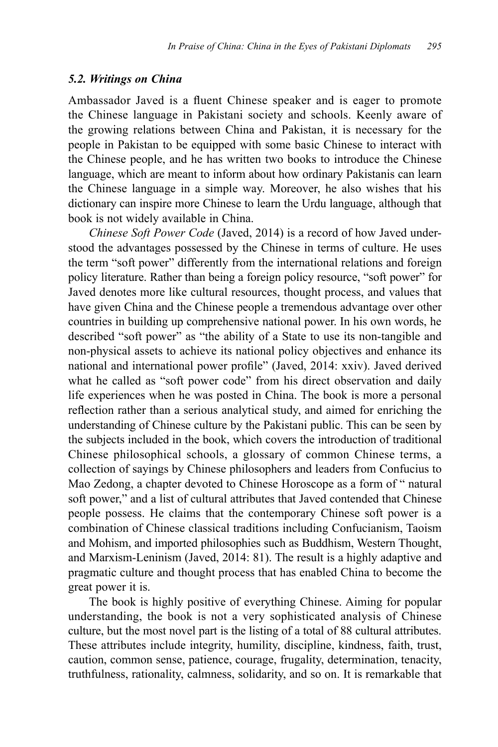#### *5.2. Writings on China*

Ambassador Javed is a fluent Chinese speaker and is eager to promote the Chinese language in Pakistani society and schools. Keenly aware of the growing relations between China and Pakistan, it is necessary for the people in Pakistan to be equipped with some basic Chinese to interact with the Chinese people, and he has written two books to introduce the Chinese language, which are meant to inform about how ordinary Pakistanis can learn the Chinese language in a simple way. Moreover, he also wishes that his dictionary can inspire more Chinese to learn the Urdu language, although that book is not widely available in China.

*Chinese Soft Power Code* (Javed, 2014) is a record of how Javed understood the advantages possessed by the Chinese in terms of culture. He uses the term "soft power" differently from the international relations and foreign policy literature. Rather than being a foreign policy resource, "soft power" for Javed denotes more like cultural resources, thought process, and values that have given China and the Chinese people a tremendous advantage over other countries in building up comprehensive national power. In his own words, he described "soft power" as "the ability of a State to use its non-tangible and non-physical assets to achieve its national policy objectives and enhance its national and international power profile" (Javed, 2014: xxiv). Javed derived what he called as "soft power code" from his direct observation and daily life experiences when he was posted in China. The book is more a personal reflection rather than a serious analytical study, and aimed for enriching the understanding of Chinese culture by the Pakistani public. This can be seen by the subjects included in the book, which covers the introduction of traditional Chinese philosophical schools, a glossary of common Chinese terms, a collection of sayings by Chinese philosophers and leaders from Confucius to Mao Zedong, a chapter devoted to Chinese Horoscope as a form of " natural soft power," and a list of cultural attributes that Javed contended that Chinese people possess. He claims that the contemporary Chinese soft power is a combination of Chinese classical traditions including Confucianism, Taoism and Mohism, and imported philosophies such as Buddhism, Western Thought, and Marxism-Leninism (Javed, 2014: 81). The result is a highly adaptive and pragmatic culture and thought process that has enabled China to become the great power it is.

The book is highly positive of everything Chinese. Aiming for popular understanding, the book is not a very sophisticated analysis of Chinese culture, but the most novel part is the listing of a total of 88 cultural attributes. These attributes include integrity, humility, discipline, kindness, faith, trust, caution, common sense, patience, courage, frugality, determination, tenacity, truthfulness, rationality, calmness, solidarity, and so on. It is remarkable that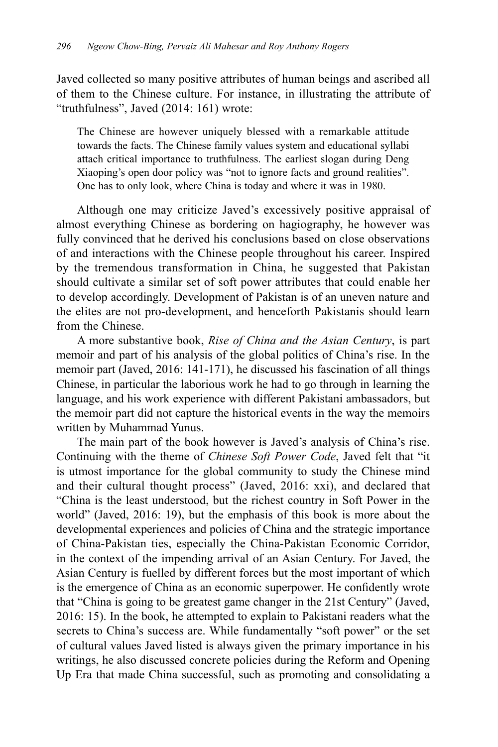Javed collected so many positive attributes of human beings and ascribed all of them to the Chinese culture. For instance, in illustrating the attribute of "truthfulness", Javed (2014: 161) wrote:

The Chinese are however uniquely blessed with a remarkable attitude towards the facts. The Chinese family values system and educational syllabi attach critical importance to truthfulness. The earliest slogan during Deng Xiaoping's open door policy was "not to ignore facts and ground realities". One has to only look, where China is today and where it was in 1980.

Although one may criticize Javed's excessively positive appraisal of almost everything Chinese as bordering on hagiography, he however was fully convinced that he derived his conclusions based on close observations of and interactions with the Chinese people throughout his career. Inspired by the tremendous transformation in China, he suggested that Pakistan should cultivate a similar set of soft power attributes that could enable her to develop accordingly. Development of Pakistan is of an uneven nature and the elites are not pro-development, and henceforth Pakistanis should learn from the Chinese.

A more substantive book, *Rise of China and the Asian Century*, is part memoir and part of his analysis of the global politics of China's rise. In the memoir part (Javed, 2016: 141-171), he discussed his fascination of all things Chinese, in particular the laborious work he had to go through in learning the language, and his work experience with different Pakistani ambassadors, but the memoir part did not capture the historical events in the way the memoirs written by Muhammad Yunus.

The main part of the book however is Javed's analysis of China's rise. Continuing with the theme of *Chinese Soft Power Code*, Javed felt that "it is utmost importance for the global community to study the Chinese mind and their cultural thought process" (Javed, 2016: xxi), and declared that "China is the least understood, but the richest country in Soft Power in the world" (Javed, 2016: 19), but the emphasis of this book is more about the developmental experiences and policies of China and the strategic importance of China-Pakistan ties, especially the China-Pakistan Economic Corridor, in the context of the impending arrival of an Asian Century. For Javed, the Asian Century is fuelled by different forces but the most important of which is the emergence of China as an economic superpower. He confidently wrote that "China is going to be greatest game changer in the 21st Century" (Javed, 2016: 15). In the book, he attempted to explain to Pakistani readers what the secrets to China's success are. While fundamentally "soft power" or the set of cultural values Javed listed is always given the primary importance in his writings, he also discussed concrete policies during the Reform and Opening Up Era that made China successful, such as promoting and consolidating a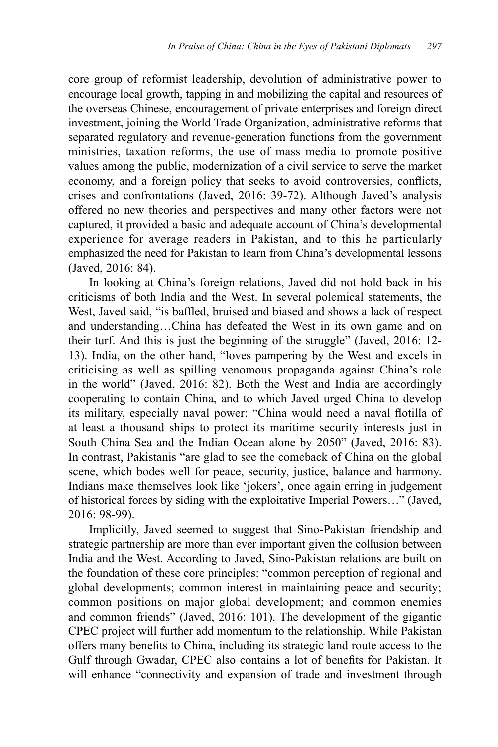core group of reformist leadership, devolution of administrative power to encourage local growth, tapping in and mobilizing the capital and resources of the overseas Chinese, encouragement of private enterprises and foreign direct investment, joining the World Trade Organization, administrative reforms that separated regulatory and revenue-generation functions from the government ministries, taxation reforms, the use of mass media to promote positive values among the public, modernization of a civil service to serve the market economy, and a foreign policy that seeks to avoid controversies, conflicts, crises and confrontations (Javed, 2016: 39-72). Although Javed's analysis offered no new theories and perspectives and many other factors were not captured, it provided a basic and adequate account of China's developmental experience for average readers in Pakistan, and to this he particularly emphasized the need for Pakistan to learn from China's developmental lessons (Javed, 2016: 84).

In looking at China's foreign relations, Javed did not hold back in his criticisms of both India and the West. In several polemical statements, the West, Javed said, "is baffled, bruised and biased and shows a lack of respect and understanding…China has defeated the West in its own game and on their turf. And this is just the beginning of the struggle" (Javed, 2016: 12- 13). India, on the other hand, "loves pampering by the West and excels in criticising as well as spilling venomous propaganda against China's role in the world" (Javed, 2016: 82). Both the West and India are accordingly cooperating to contain China, and to which Javed urged China to develop its military, especially naval power: "China would need a naval flotilla of at least a thousand ships to protect its maritime security interests just in South China Sea and the Indian Ocean alone by 2050" (Javed, 2016: 83). In contrast, Pakistanis "are glad to see the comeback of China on the global scene, which bodes well for peace, security, justice, balance and harmony. Indians make themselves look like 'jokers', once again erring in judgement of historical forces by siding with the exploitative Imperial Powers…" (Javed, 2016: 98-99).

Implicitly, Javed seemed to suggest that Sino-Pakistan friendship and strategic partnership are more than ever important given the collusion between India and the West. According to Javed, Sino-Pakistan relations are built on the foundation of these core principles: "common perception of regional and global developments; common interest in maintaining peace and security; common positions on major global development; and common enemies and common friends" (Javed, 2016: 101). The development of the gigantic CPEC project will further add momentum to the relationship. While Pakistan offers many benefits to China, including its strategic land route access to the Gulf through Gwadar, CPEC also contains a lot of benefits for Pakistan. It will enhance "connectivity and expansion of trade and investment through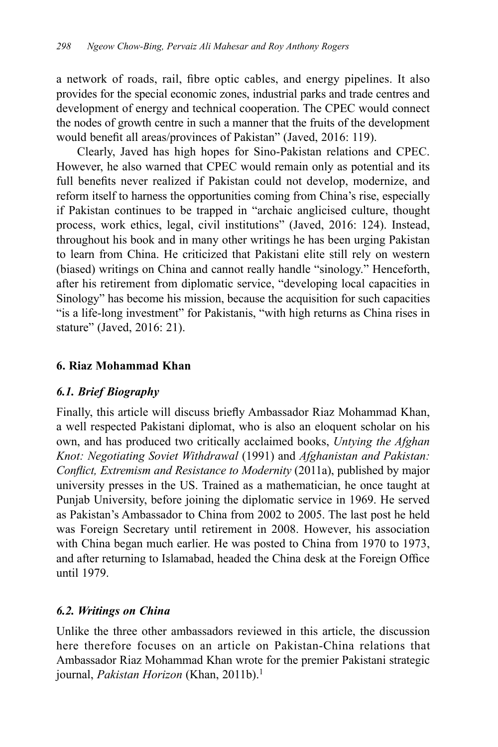a network of roads, rail, fibre optic cables, and energy pipelines. It also provides for the special economic zones, industrial parks and trade centres and development of energy and technical cooperation. The CPEC would connect the nodes of growth centre in such a manner that the fruits of the development would benefit all areas/provinces of Pakistan" (Javed, 2016: 119).

Clearly, Javed has high hopes for Sino-Pakistan relations and CPEC. However, he also warned that CPEC would remain only as potential and its full benefits never realized if Pakistan could not develop, modernize, and reform itself to harness the opportunities coming from China's rise, especially if Pakistan continues to be trapped in "archaic anglicised culture, thought process, work ethics, legal, civil institutions" (Javed, 2016: 124). Instead, throughout his book and in many other writings he has been urging Pakistan to learn from China. He criticized that Pakistani elite still rely on western (biased) writings on China and cannot really handle "sinology." Henceforth, after his retirement from diplomatic service, "developing local capacities in Sinology" has become his mission, because the acquisition for such capacities "is a life-long investment" for Pakistanis, "with high returns as China rises in stature" (Javed, 2016: 21).

# **6. Riaz Mohammad Khan**

# *6.1. Brief Biography*

Finally, this article will discuss briefly Ambassador Riaz Mohammad Khan, a well respected Pakistani diplomat, who is also an eloquent scholar on his own, and has produced two critically acclaimed books, *Untying the Afghan Knot: Negotiating Soviet Withdrawal* (1991) and *Afghanistan and Pakistan: Conflict, Extremism and Resistance to Modernity* (2011a), published by major university presses in the US. Trained as a mathematician, he once taught at Punjab University, before joining the diplomatic service in 1969. He served as Pakistan's Ambassador to China from 2002 to 2005. The last post he held was Foreign Secretary until retirement in 2008. However, his association with China began much earlier. He was posted to China from 1970 to 1973, and after returning to Islamabad, headed the China desk at the Foreign Office until 1979.

# *6.2. Writings on China*

Unlike the three other ambassadors reviewed in this article, the discussion here therefore focuses on an article on Pakistan-China relations that Ambassador Riaz Mohammad Khan wrote for the premier Pakistani strategic journal, *Pakistan Horizon* (Khan, 2011b).<sup>1</sup>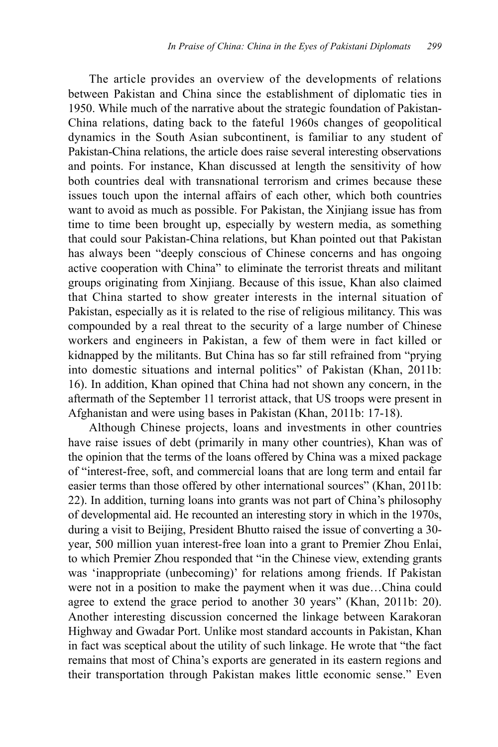The article provides an overview of the developments of relations between Pakistan and China since the establishment of diplomatic ties in 1950. While much of the narrative about the strategic foundation of Pakistan-China relations, dating back to the fateful 1960s changes of geopolitical dynamics in the South Asian subcontinent, is familiar to any student of Pakistan-China relations, the article does raise several interesting observations and points. For instance, Khan discussed at length the sensitivity of how both countries deal with transnational terrorism and crimes because these issues touch upon the internal affairs of each other, which both countries want to avoid as much as possible. For Pakistan, the Xinjiang issue has from time to time been brought up, especially by western media, as something that could sour Pakistan-China relations, but Khan pointed out that Pakistan has always been "deeply conscious of Chinese concerns and has ongoing active cooperation with China" to eliminate the terrorist threats and militant groups originating from Xinjiang. Because of this issue, Khan also claimed that China started to show greater interests in the internal situation of Pakistan, especially as it is related to the rise of religious militancy. This was compounded by a real threat to the security of a large number of Chinese workers and engineers in Pakistan, a few of them were in fact killed or kidnapped by the militants. But China has so far still refrained from "prying into domestic situations and internal politics" of Pakistan (Khan, 2011b: 16). In addition, Khan opined that China had not shown any concern, in the aftermath of the September 11 terrorist attack, that US troops were present in Afghanistan and were using bases in Pakistan (Khan, 2011b: 17-18).

Although Chinese projects, loans and investments in other countries have raise issues of debt (primarily in many other countries), Khan was of the opinion that the terms of the loans offered by China was a mixed package of "interest-free, soft, and commercial loans that are long term and entail far easier terms than those offered by other international sources" (Khan, 2011b: 22). In addition, turning loans into grants was not part of China's philosophy of developmental aid. He recounted an interesting story in which in the 1970s, during a visit to Beijing, President Bhutto raised the issue of converting a 30 year, 500 million yuan interest-free loan into a grant to Premier Zhou Enlai, to which Premier Zhou responded that "in the Chinese view, extending grants was 'inappropriate (unbecoming)' for relations among friends. If Pakistan were not in a position to make the payment when it was due…China could agree to extend the grace period to another 30 years" (Khan, 2011b: 20). Another interesting discussion concerned the linkage between Karakoran Highway and Gwadar Port. Unlike most standard accounts in Pakistan, Khan in fact was sceptical about the utility of such linkage. He wrote that "the fact remains that most of China's exports are generated in its eastern regions and their transportation through Pakistan makes little economic sense." Even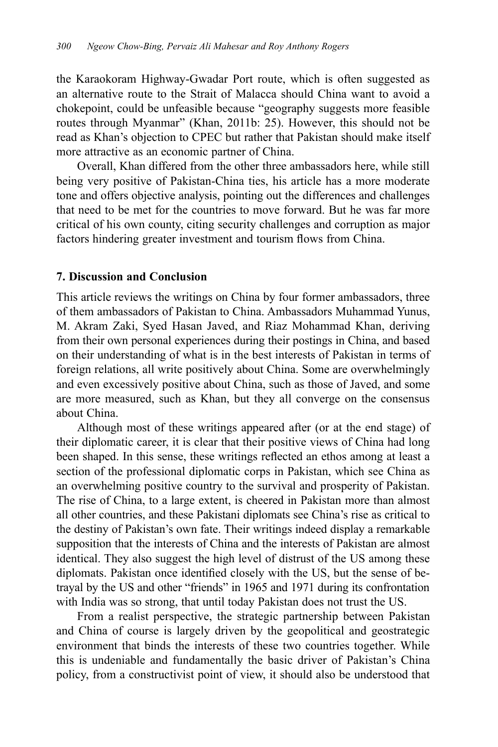the Karaokoram Highway-Gwadar Port route, which is often suggested as an alternative route to the Strait of Malacca should China want to avoid a chokepoint, could be unfeasible because "geography suggests more feasible routes through Myanmar" (Khan, 2011b: 25). However, this should not be read as Khan's objection to CPEC but rather that Pakistan should make itself more attractive as an economic partner of China.

Overall, Khan differed from the other three ambassadors here, while still being very positive of Pakistan-China ties, his article has a more moderate tone and offers objective analysis, pointing out the differences and challenges that need to be met for the countries to move forward. But he was far more critical of his own county, citing security challenges and corruption as major factors hindering greater investment and tourism flows from China.

#### **7. Discussion and Conclusion**

This article reviews the writings on China by four former ambassadors, three of them ambassadors of Pakistan to China. Ambassadors Muhammad Yunus, M. Akram Zaki, Syed Hasan Javed, and Riaz Mohammad Khan, deriving from their own personal experiences during their postings in China, and based on their understanding of what is in the best interests of Pakistan in terms of foreign relations, all write positively about China. Some are overwhelmingly and even excessively positive about China, such as those of Javed, and some are more measured, such as Khan, but they all converge on the consensus about China.

Although most of these writings appeared after (or at the end stage) of their diplomatic career, it is clear that their positive views of China had long been shaped. In this sense, these writings reflected an ethos among at least a section of the professional diplomatic corps in Pakistan, which see China as an overwhelming positive country to the survival and prosperity of Pakistan. The rise of China, to a large extent, is cheered in Pakistan more than almost all other countries, and these Pakistani diplomats see China's rise as critical to the destiny of Pakistan's own fate. Their writings indeed display a remarkable supposition that the interests of China and the interests of Pakistan are almost identical. They also suggest the high level of distrust of the US among these diplomats. Pakistan once identified closely with the US, but the sense of betrayal by the US and other "friends" in 1965 and 1971 during its confrontation with India was so strong, that until today Pakistan does not trust the US.

From a realist perspective, the strategic partnership between Pakistan and China of course is largely driven by the geopolitical and geostrategic environment that binds the interests of these two countries together. While this is undeniable and fundamentally the basic driver of Pakistan's China policy, from a constructivist point of view, it should also be understood that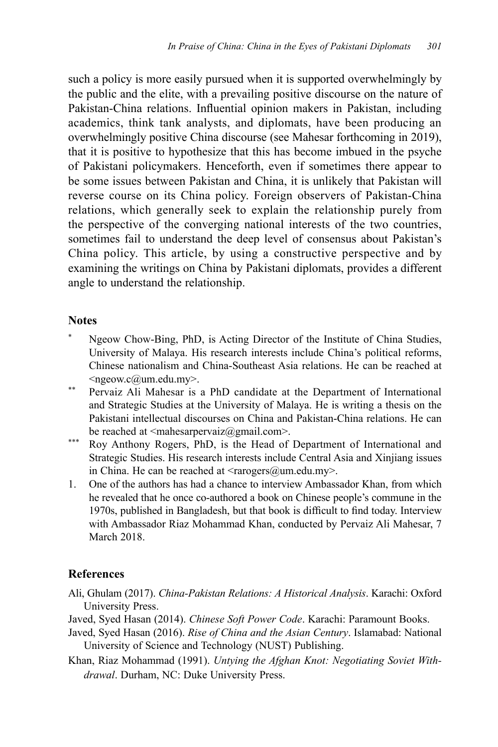such a policy is more easily pursued when it is supported overwhelmingly by the public and the elite, with a prevailing positive discourse on the nature of Pakistan-China relations. Influential opinion makers in Pakistan, including academics, think tank analysts, and diplomats, have been producing an overwhelmingly positive China discourse (see Mahesar forthcoming in 2019), that it is positive to hypothesize that this has become imbued in the psyche of Pakistani policymakers. Henceforth, even if sometimes there appear to be some issues between Pakistan and China, it is unlikely that Pakistan will reverse course on its China policy. Foreign observers of Pakistan-China relations, which generally seek to explain the relationship purely from the perspective of the converging national interests of the two countries, sometimes fail to understand the deep level of consensus about Pakistan's China policy. This article, by using a constructive perspective and by examining the writings on China by Pakistani diplomats, provides a different angle to understand the relationship.

### **Notes**

- Ngeow Chow-Bing, PhD, is Acting Director of the Institute of China Studies, University of Malaya. His research interests include China's political reforms, Chinese nationalism and China-Southeast Asia relations. He can be reached at <ngeow.c@um.edu.my>.
- \*\* Pervaiz Ali Mahesar is a PhD candidate at the Department of International and Strategic Studies at the University of Malaya. He is writing a thesis on the Pakistani intellectual discourses on China and Pakistan-China relations. He can be reached at  $\leq$ mahesarpervaiz $\omega$ gmail.com>.
- \*\*\* Roy Anthony Rogers, PhD, is the Head of Department of International and Strategic Studies. His research interests include Central Asia and Xinjiang issues in China. He can be reached at  $\langle \text{trapeg}(\omega) \rangle$  and  $\langle \text{trapeg}(\omega) \rangle$ .
- 1. One of the authors has had a chance to interview Ambassador Khan, from which he revealed that he once co-authored a book on Chinese people's commune in the 1970s, published in Bangladesh, but that book is difficult to find today. Interview with Ambassador Riaz Mohammad Khan, conducted by Pervaiz Ali Mahesar, 7 March 2018.

# **References**

- Ali, Ghulam (2017). *China-Pakistan Relations: A Historical Analysis*. Karachi: Oxford University Press.
- Javed, Syed Hasan (2014). *Chinese Soft Power Code*. Karachi: Paramount Books.
- Javed, Syed Hasan (2016). *Rise of China and the Asian Century*. Islamabad: National University of Science and Technology (NUST) Publishing.
- Khan, Riaz Mohammad (1991). *Untying the Afghan Knot: Negotiating Soviet Withdrawal*. Durham, NC: Duke University Press.